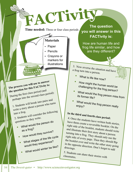**Time needed:** Three or four class periods

### **Materials**

- Paper
- Pencils
- Crayons or
	- markers for
	- illustrations

**The process you will use to answer the question for this FACTivity is:** During the first class period (and perhaps into the second class period): 1. Students will break into pairs and

write a story about a person who turns<br>into a frog.

into a frog.<br>2. Students will consider the following

questions as they write. What would the person do

- **•**as a frog? How would they survive?
- **•**What stages of the life cycle
- **•**would they experience? What would winter be like?
	- **•**

**The question you will answer in this FACTivity is: FACTivity**

> How are human life and frog life similar, and how are they different?

3. Now reverse the situation and have a frog turn into a person.

- **•**What is life like now?
- **•** How might the human world be challenging for the frog person?
- **•**What would the frog person miss from
- **•**What would the frog person really enjoy?

# **In the third and fourth class period:**

4. Once the students have written both stories, have them create a reversible booklet. On the right side of the booklet, students should write and illustrate their first story about a person turning into a frog. They should only use the right side of every page. Then they should flip the booklet over and write the other story going<br>in the opposite direction. Don't forget to add<br>drawings in the opposite direction. Don't forget to add<br>drawings.

5. Students can share their stories with classmates.